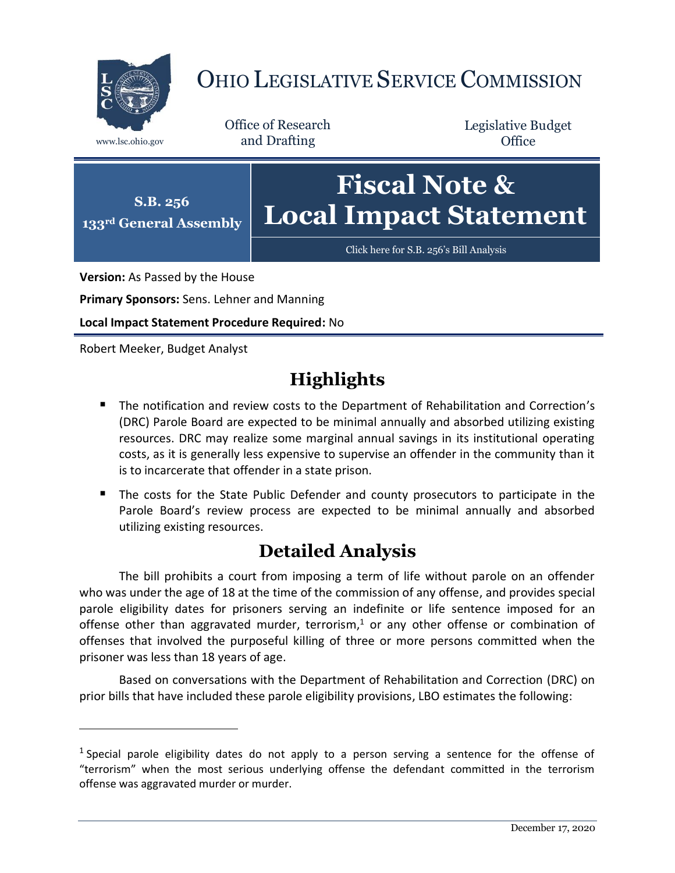

## OHIO LEGISLATIVE SERVICE COMMISSION

Office of Research www.lsc.ohio.gov and Drafting

Legislative Budget **Office** 



**Version:** As Passed by the House

**Primary Sponsors:** Sens. Lehner and Manning

**Local Impact Statement Procedure Required:** No

Robert Meeker, Budget Analyst

 $\overline{a}$ 

## **Highlights**

- **The notification and review costs to the Department of Rehabilitation and Correction's** (DRC) Parole Board are expected to be minimal annually and absorbed utilizing existing resources. DRC may realize some marginal annual savings in its institutional operating costs, as it is generally less expensive to supervise an offender in the community than it is to incarcerate that offender in a state prison.
- The costs for the State Public Defender and county prosecutors to participate in the Parole Board's review process are expected to be minimal annually and absorbed utilizing existing resources.

## **Detailed Analysis**

The bill prohibits a court from imposing a term of life without parole on an offender who was under the age of 18 at the time of the commission of any offense, and provides special parole eligibility dates for prisoners serving an indefinite or life sentence imposed for an offense other than aggravated murder, terrorism, <sup>1</sup> or any other offense or combination of offenses that involved the purposeful killing of three or more persons committed when the prisoner was less than 18 years of age.

Based on conversations with the Department of Rehabilitation and Correction (DRC) on prior bills that have included these parole eligibility provisions, LBO estimates the following:

<sup>&</sup>lt;sup>1</sup> Special parole eligibility dates do not apply to a person serving a sentence for the offense of "terrorism" when the most serious underlying offense the defendant committed in the terrorism offense was aggravated murder or murder.